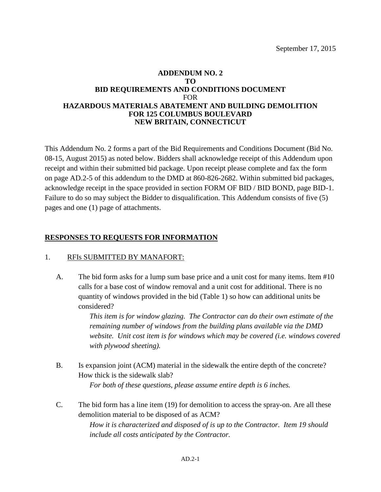#### **ADDENDUM NO. 2 TO BID REQUIREMENTS AND CONDITIONS DOCUMENT** FOR **HAZARDOUS MATERIALS ABATEMENT AND BUILDING DEMOLITION FOR 125 COLUMBUS BOULEVARD NEW BRITAIN, CONNECTICUT**

This Addendum No. 2 forms a part of the Bid Requirements and Conditions Document (Bid No. 08-15, August 2015) as noted below. Bidders shall acknowledge receipt of this Addendum upon receipt and within their submitted bid package. Upon receipt please complete and fax the form on page AD.2-5 of this addendum to the DMD at 860-826-2682. Within submitted bid packages, acknowledge receipt in the space provided in section FORM OF BID / BID BOND, page BID-1. Failure to do so may subject the Bidder to disqualification. This Addendum consists of five (5) pages and one (1) page of attachments.

### **RESPONSES TO REQUESTS FOR INFORMATION**

#### 1. RFIs SUBMITTED BY MANAFORT:

A. The bid form asks for a lump sum base price and a unit cost for many items. Item #10 calls for a base cost of window removal and a unit cost for additional. There is no quantity of windows provided in the bid (Table 1) so how can additional units be considered?

> *This item is for window glazing. The Contractor can do their own estimate of the remaining number of windows from the building plans available via the DMD website. Unit cost item is for windows which may be covered (i.e. windows covered with plywood sheeting).*

- B. Is expansion joint (ACM) material in the sidewalk the entire depth of the concrete? How thick is the sidewalk slab? *For both of these questions, please assume entire depth is 6 inches.*
- C. The bid form has a line item (19) for demolition to access the spray-on. Are all these demolition material to be disposed of as ACM?

*How it is characterized and disposed of is up to the Contractor. Item 19 should include all costs anticipated by the Contractor.*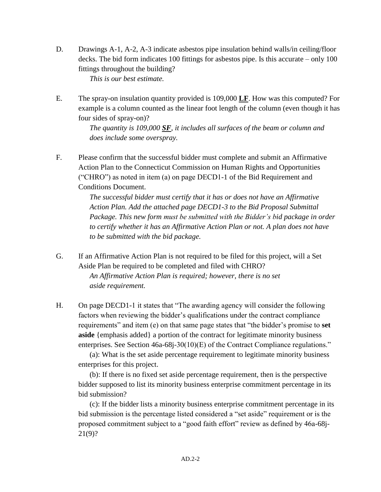- D. Drawings A-1, A-2, A-3 indicate asbestos pipe insulation behind walls/in ceiling/floor decks. The bid form indicates 100 fittings for asbestos pipe. Is this accurate – only 100 fittings throughout the building? *This is our best estimate.*
- E. The spray-on insulation quantity provided is 109,000 **LF**. How was this computed? For example is a column counted as the linear foot length of the column (even though it has four sides of spray-on)?

*The quantity is 109,000 SF, it includes all surfaces of the beam or column and does include some overspray.*

F. Please confirm that the successful bidder must complete and submit an Affirmative Action Plan to the Connecticut Commission on Human Rights and Opportunities ("CHRO") as noted in item (a) on page DECD1-1 of the Bid Requirement and Conditions Document.

> *The successful bidder must certify that it has or does not have an Affirmative Action Plan. Add the attached page DECD1-3 to the Bid Proposal Submittal Package. This new form must be submitted with the Bidder's bid package in order to certify whether it has an Affirmative Action Plan or not. A plan does not have to be submitted with the bid package.*

- G. If an Affirmative Action Plan is not required to be filed for this project, will a Set Aside Plan be required to be completed and filed with CHRO? *An Affirmative Action Plan is required; however, there is no set aside requirement.*
- H. On page DECD1-1 it states that "The awarding agency will consider the following factors when reviewing the bidder's qualifications under the contract compliance requirements" and item (e) on that same page states that "the bidder's promise to **set aside** {emphasis added} a portion of the contract for legitimate minority business enterprises. See Section 46a-68j-30(10)(E) of the Contract Compliance regulations."

(a): What is the set aside percentage requirement to legitimate minority business enterprises for this project.

(b): If there is no fixed set aside percentage requirement, then is the perspective bidder supposed to list its minority business enterprise commitment percentage in its bid submission?

(c): If the bidder lists a minority business enterprise commitment percentage in its bid submission is the percentage listed considered a "set aside" requirement or is the proposed commitment subject to a "good faith effort" review as defined by 46a-68j-21(9)?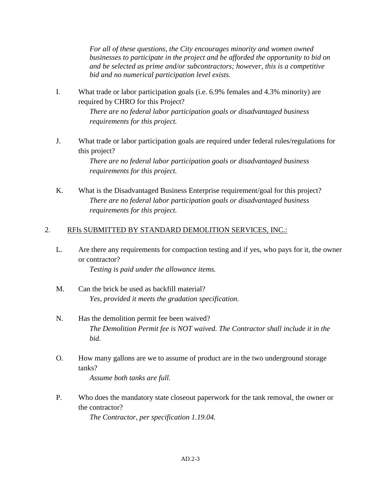*For all of these questions, the City encourages minority and women owned businesses to participate in the project and be afforded the opportunity to bid on and be selected as prime and/or subcontractors; however, this is a competitive bid and no numerical participation level exists.*

I. What trade or labor participation goals (i.e. 6.9% females and 4.3% minority) are required by CHRO for this Project?

> *There are no federal labor participation goals or disadvantaged business requirements for this project.*

J. What trade or labor participation goals are required under federal rules/regulations for this project?

> *There are no federal labor participation goals or disadvantaged business requirements for this project.*

K. What is the Disadvantaged Business Enterprise requirement/goal for this project? *There are no federal labor participation goals or disadvantaged business requirements for this project.*

### 2. RFIs SUBMITTED BY STANDARD DEMOLITION SERVICES, INC.:

L. Are there any requirements for compaction testing and if yes, who pays for it, the owner or contractor?

*Testing is paid under the allowance items.*

- M. Can the brick be used as backfill material? *Yes, provided it meets the gradation specification.*
- N. Has the demolition permit fee been waived? *The Demolition Permit fee is NOT waived. The Contractor shall include it in the bid.*
- O. How many gallons are we to assume of product are in the two underground storage tanks? *Assume both tanks are full.*
- P. Who does the mandatory state closeout paperwork for the tank removal, the owner or the contractor? *The Contractor, per specification 1.19.04.*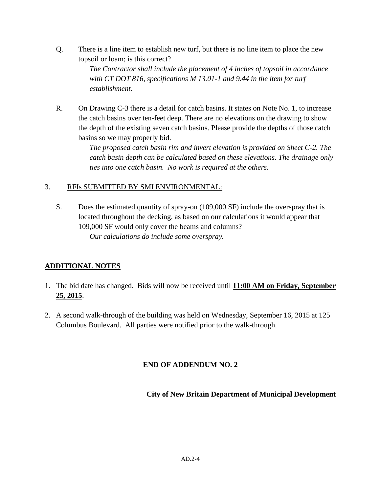Q. There is a line item to establish new turf, but there is no line item to place the new topsoil or loam; is this correct?

> *The Contractor shall include the placement of 4 inches of topsoil in accordance with CT DOT 816, specifications M 13.01-1 and 9.44 in the item for turf establishment.*

R. On Drawing C-3 there is a detail for catch basins. It states on Note No. 1, to increase the catch basins over ten-feet deep. There are no elevations on the drawing to show the depth of the existing seven catch basins. Please provide the depths of those catch basins so we may properly bid.

> *The proposed catch basin rim and invert elevation is provided on Sheet C-2. The catch basin depth can be calculated based on these elevations. The drainage only ties into one catch basin. No work is required at the others.*

## 3. RFIs SUBMITTED BY SMI ENVIRONMENTAL:

S. Does the estimated quantity of spray-on (109,000 SF) include the overspray that is located throughout the decking, as based on our calculations it would appear that 109,000 SF would only cover the beams and columns? *Our calculations do include some overspray.*

# **ADDITIONAL NOTES**

- 1. The bid date has changed. Bids will now be received until **11:00 AM on Friday, September 25, 2015**.
- 2. A second walk-through of the building was held on Wednesday, September 16, 2015 at 125 Columbus Boulevard. All parties were notified prior to the walk-through.

## **END OF ADDENDUM NO. 2**

**City of New Britain Department of Municipal Development**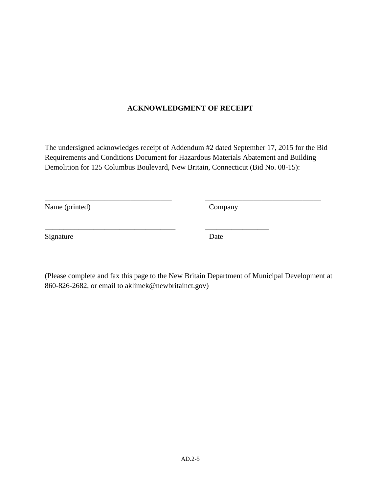### **ACKNOWLEDGMENT OF RECEIPT**

The undersigned acknowledges receipt of Addendum #2 dated September 17, 2015 for the Bid Requirements and Conditions Document for Hazardous Materials Abatement and Building Demolition for 125 Columbus Boulevard, New Britain, Connecticut (Bid No. 08-15):

\_\_\_\_\_\_\_\_\_\_\_\_\_\_\_\_\_\_\_\_\_\_\_\_\_\_\_\_\_\_\_\_\_\_ \_\_\_\_\_\_\_\_\_\_\_\_\_\_\_\_\_\_\_\_\_\_\_\_\_\_\_\_\_\_\_

\_\_\_\_\_\_\_\_\_\_\_\_\_\_\_\_\_\_\_\_\_\_\_\_\_\_\_\_\_\_\_\_\_\_\_ \_\_\_\_\_\_\_\_\_\_\_\_\_\_\_\_\_

Name (printed) Company

Signature Date

(Please complete and fax this page to the New Britain Department of Municipal Development at 860-826-2682, or email to aklimek@newbritainct.gov)